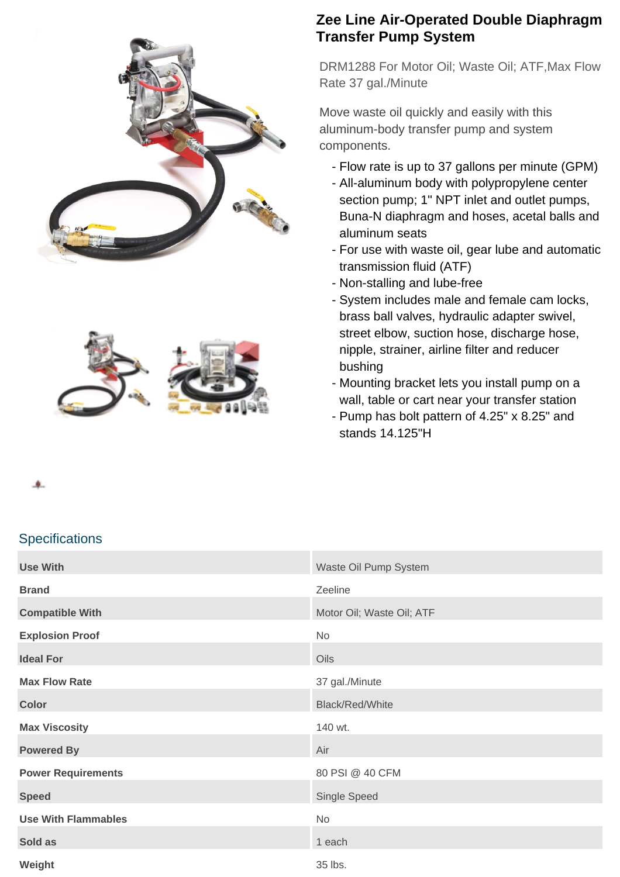



## **Zee Line Air-Operated Double Diaphragm Transfer Pump System**

DRM1288 For Motor Oil; Waste Oil; ATF,Max Flow Rate 37 gal./Minute

Move waste oil quickly and easily with this aluminum-body transfer pump and system components.

- Flow rate is up to 37 gallons per minute (GPM)
- All-aluminum body with polypropylene center section pump; 1" NPT inlet and outlet pumps, Buna-N diaphragm and hoses, acetal balls and aluminum seats
- For use with waste oil, gear lube and automatic transmission fluid (ATF)
- Non-stalling and lube-free
- System includes male and female cam locks, brass ball valves, hydraulic adapter swivel, street elbow, suction hose, discharge hose, nipple, strainer, airline filter and reducer bushing
- Mounting bracket lets you install pump on a wall, table or cart near your transfer station
- Pump has bolt pattern of 4.25" x 8.25" and stands 14.125"H

## **Specifications**

| <b>Use With</b>            | Waste Oil Pump System     |
|----------------------------|---------------------------|
| <b>Brand</b>               | Zeeline                   |
| <b>Compatible With</b>     | Motor Oil; Waste Oil; ATF |
| <b>Explosion Proof</b>     | No                        |
| <b>Ideal For</b>           | Oils                      |
| <b>Max Flow Rate</b>       | 37 gal./Minute            |
| <b>Color</b>               | Black/Red/White           |
| <b>Max Viscosity</b>       | 140 wt.                   |
| <b>Powered By</b>          | Air                       |
| <b>Power Requirements</b>  | 80 PSI @ 40 CFM           |
| <b>Speed</b>               | Single Speed              |
| <b>Use With Flammables</b> | No                        |
| Sold as                    | 1 each                    |
| Weight                     | 35 lbs.                   |